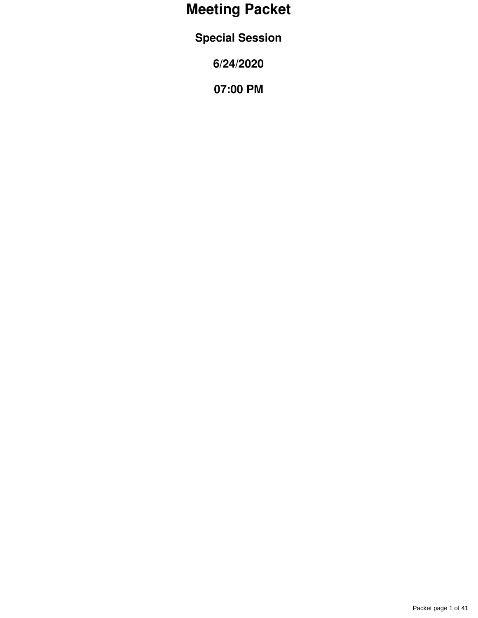## **Meeting Packet**

**Special Session**

**6/24/2020**

**07:00 PM**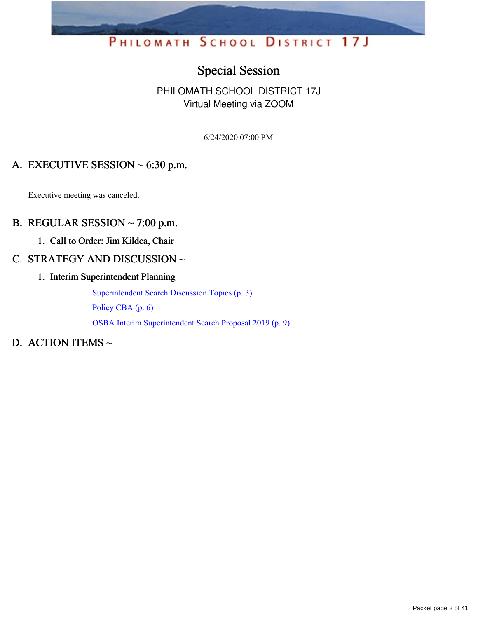## PHILOMATH SCHOOL DISTRICT 17J

## Special Session

#### PHILOMATH SCHOOL DISTRICT 17J Virtual Meeting via ZOOM

6/24/2020 07:00 PM

#### A. EXECUTIVE SESSION  $\sim$  6:30 p.m.

Executive meeting was canceled.

#### B. REGULAR SESSION  $\sim$  7:00 p.m.

1. Call to Order: Jim Kildea, Chair

#### C. STRATEGY AND DISCUSSION ~

1. Interim Superintendent Planning

[Superintendent](https://app.eduportal.com/documents/view/758947) Search Discussion Topics (p. 3)

[Policy](https://app.eduportal.com/documents/view/758948) CBA (p. 6)

OSBA Interim [Superintendent](https://app.eduportal.com/documents/view/758950) Search Proposal 2019 (p. 9)

#### D. ACTION ITEMS ~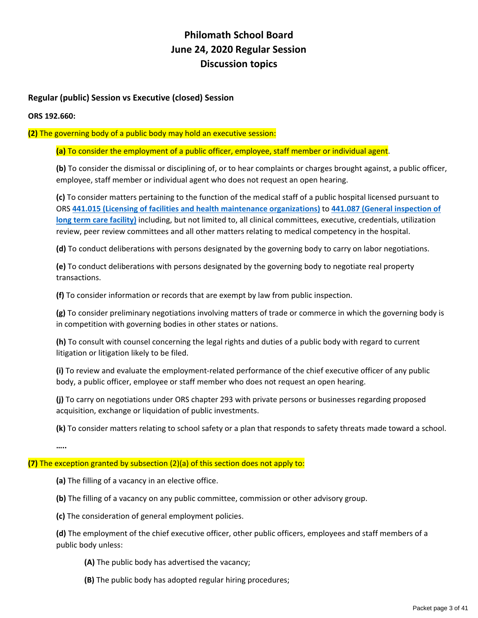#### **Philomath School Board June 24, 2020 Regular Session Discussion topics**

#### **Regular (public) Session vs Executive (closed) Session**

#### **ORS 192.660:**

**(2)** The governing body of a public body may hold an executive session:

**(a)** To consider the employment of a public officer, employee, staff member or individual agent.

**(b)** To consider the dismissal or disciplining of, or to hear complaints or charges brought against, a public officer, employee, staff member or individual agent who does not request an open hearing.

**(c)** To consider matters pertaining to the function of the medical staff of a public hospital licensed pursuant to ORS **441.015 (Licensing of facilities and health maintenance organizations)** to **441.087 (General inspection of long term care facility)** including, but not limited to, all clinical committees, executive, credentials, utilization review, peer review committees and all other matters relating to medical competency in the hospital.

**(d)** To conduct deliberations with persons designated by the governing body to carry on labor negotiations.

**(e)** To conduct deliberations with persons designated by the governing body to negotiate real property transactions.

**(f)** To consider information or records that are exempt by law from public inspection.

**(g)** To consider preliminary negotiations involving matters of trade or commerce in which the governing body is in competition with governing bodies in other states or nations.

**(h)** To consult with counsel concerning the legal rights and duties of a public body with regard to current litigation or litigation likely to be filed.

**(i)** To review and evaluate the employment‐related performance of the chief executive officer of any public body, a public officer, employee or staff member who does not request an open hearing.

**(j)** To carry on negotiations under ORS chapter 293 with private persons or businesses regarding proposed acquisition, exchange or liquidation of public investments.

**(k)** To consider matters relating to school safety or a plan that responds to safety threats made toward a school.

**…..**

#### **(7)** The exception granted by subsection (2)(a) of this section does not apply to:

**(a)** The filling of a vacancy in an elective office.

**(b)** The filling of a vacancy on any public committee, commission or other advisory group.

**(c)** The consideration of general employment policies.

**(d)** The employment of the chief executive officer, other public officers, employees and staff members of a public body unless:

**(A)** The public body has advertised the vacancy;

**(B)** The public body has adopted regular hiring procedures;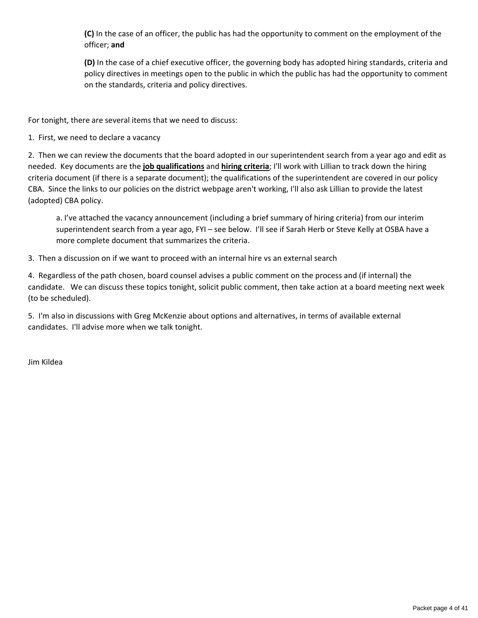**(C)** In the case of an officer, the public has had the opportunity to comment on the employment of the officer; **and**

**(D)** In the case of a chief executive officer, the governing body has adopted hiring standards, criteria and policy directives in meetings open to the public in which the public has had the opportunity to comment on the standards, criteria and policy directives.

For tonight, there are several items that we need to discuss:

1. First, we need to declare a vacancy

2. Then we can review the documents that the board adopted in our superintendent search from a year ago and edit as needed. Key documents are the **job qualifications** and **hiring criteria**; I'll work with Lillian to track down the hiring criteria document (if there is a separate document); the qualifications of the superintendent are covered in our policy CBA. Since the links to our policies on the district webpage aren't working, I'll also ask Lillian to provide the latest (adopted) CBA policy.

a. I've attached the vacancy announcement (including a brief summary of hiring criteria) from our interim superintendent search from a year ago, FYI – see below. I'll see if Sarah Herb or Steve Kelly at OSBA have a more complete document that summarizes the criteria.

3. Then a discussion on if we want to proceed with an internal hire vs an external search

4. Regardless of the path chosen, board counsel advises a public comment on the process and (if internal) the candidate. We can discuss these topics tonight, solicit public comment, then take action at a board meeting next week (to be scheduled).

5. I'm also in discussions with Greg McKenzie about options and alternatives, in terms of available external candidates. I'll advise more when we talk tonight.

Jim Kildea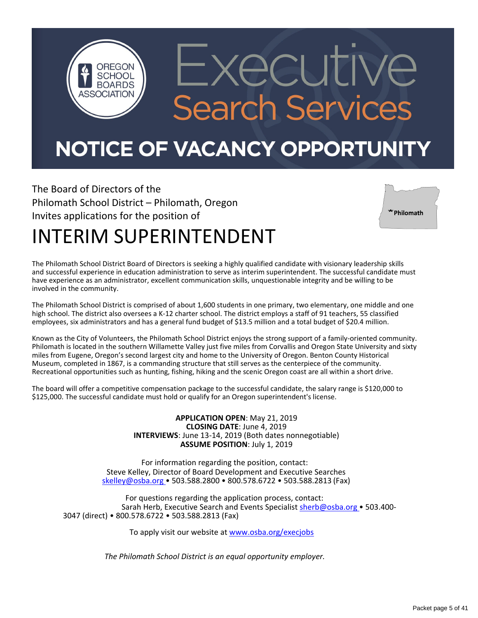## NOTICE OF VACANCY OPPORTUNITY

 $\Box$ 

**Search Services** 

The Board of Directors of the Philomath School District – Philomath, Oregon Invites applications for the position of

OREGON **SCHOOL BOARDS** 



## INTERIM SUPERINTENDENT

The Philomath School District Board of Directors is seeking a highly qualified candidate with visionary leadership skills and successful experience in education administration to serve as interim superintendent. The successful candidate must have experience as an administrator, excellent communication skills, unquestionable integrity and be willing to be involved in the community.

The Philomath School District is comprised of about 1,600 students in one primary, two elementary, one middle and one high school. The district also oversees a K-12 charter school. The district employs a staff of 91 teachers, 55 classified employees, six administrators and has a general fund budget of \$13.5 million and a total budget of \$20.4 million.

Known as the City of Volunteers, the Philomath School District enjoys the strong support of a family‐oriented community. Philomath is located in the southern Willamette Valley just five miles from Corvallis and Oregon State University and sixty miles from Eugene, Oregon's second largest city and home to the University of Oregon. Benton County Historical Museum, completed in 1867, is a commanding structure that still serves as the centerpiece of the community. Recreational opportunities such as hunting, fishing, hiking and the scenic Oregon coast are all within a short drive.

The board will offer a competitive compensation package to the successful candidate, the salary range is \$120,000 to \$125,000. The successful candidate must hold or qualify for an Oregon superintendent's license.

> **APPLICATION OPEN**: May 21, 2019 **CLOSING DATE**: June 4, 2019 **INTERVIEWS**: June 13‐14, 2019 (Both dates nonnegotiable) **ASSUME POSITION**: July 1, 2019

For information regarding the position, contact: Steve Kelley, Director of Board Development and Executive Searches skelley@osba.org • 503.588.2800 • 800.578.6722 • 503.588.2813 (Fax)

For questions regarding the application process, contact: Sarah Herb, Executive Search and Events Specialist sherb@osba.org • 503.400‐ 3047 (direct) • 800.578.6722 • 503.588.2813 (Fax)

To apply visit our website at www.osba.org/execjobs

*The Philomath School District is an equal opportunity employer.*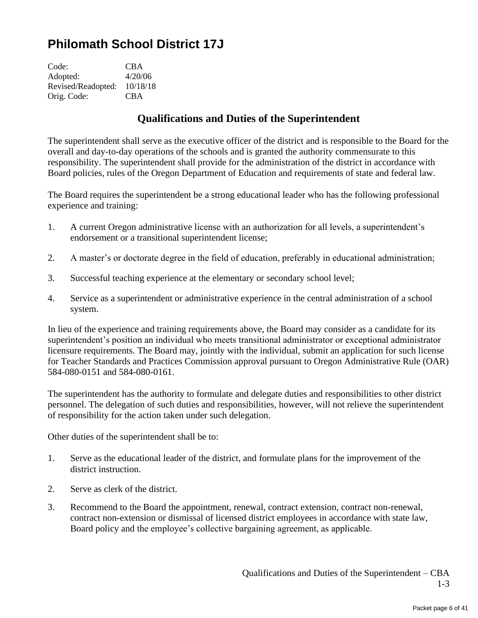## **Philomath School District 17J**

| <b>CBA</b> |
|------------|
| 4/20/06    |
| 10/18/18   |
| <b>CBA</b> |
|            |

#### **Qualifications and Duties of the Superintendent**

The superintendent shall serve as the executive officer of the district and is responsible to the Board for the overall and day-to-day operations of the schools and is granted the authority commensurate to this responsibility. The superintendent shall provide for the administration of the district in accordance with Board policies, rules of the Oregon Department of Education and requirements of state and federal law.

The Board requires the superintendent be a strong educational leader who has the following professional experience and training:

- 1. A current Oregon administrative license with an authorization for all levels, a superintendent's endorsement or a transitional superintendent license;
- 2. A master's or doctorate degree in the field of education, preferably in educational administration;
- 3. Successful teaching experience at the elementary or secondary school level;
- 4. Service as a superintendent or administrative experience in the central administration of a school system.

In lieu of the experience and training requirements above, the Board may consider as a candidate for its superintendent's position an individual who meets transitional administrator or exceptional administrator licensure requirements. The Board may, jointly with the individual, submit an application for such license for Teacher Standards and Practices Commission approval pursuant to Oregon Administrative Rule (OAR) 584-080-0151 and 584-080-0161.

The superintendent has the authority to formulate and delegate duties and responsibilities to other district personnel. The delegation of such duties and responsibilities, however, will not relieve the superintendent of responsibility for the action taken under such delegation.

Other duties of the superintendent shall be to:

- 1. Serve as the educational leader of the district, and formulate plans for the improvement of the district instruction.
- 2. Serve as clerk of the district.
- 3. Recommend to the Board the appointment, renewal, contract extension, contract non-renewal, contract non-extension or dismissal of licensed district employees in accordance with state law, Board policy and the employee's collective bargaining agreement, as applicable.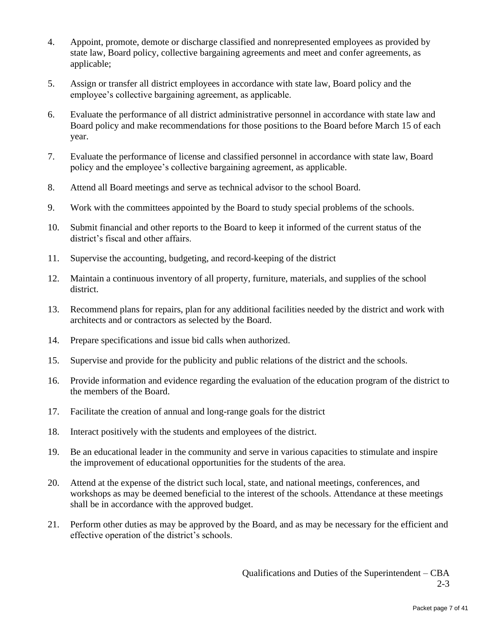- 4. Appoint, promote, demote or discharge classified and nonrepresented employees as provided by state law, Board policy, collective bargaining agreements and meet and confer agreements, as applicable;
- 5. Assign or transfer all district employees in accordance with state law, Board policy and the employee's collective bargaining agreement, as applicable.
- 6. Evaluate the performance of all district administrative personnel in accordance with state law and Board policy and make recommendations for those positions to the Board before March 15 of each year.
- 7. Evaluate the performance of license and classified personnel in accordance with state law, Board policy and the employee's collective bargaining agreement, as applicable.
- 8. Attend all Board meetings and serve as technical advisor to the school Board.
- 9. Work with the committees appointed by the Board to study special problems of the schools.
- 10. Submit financial and other reports to the Board to keep it informed of the current status of the district's fiscal and other affairs.
- 11. Supervise the accounting, budgeting, and record-keeping of the district
- 12. Maintain a continuous inventory of all property, furniture, materials, and supplies of the school district.
- 13. Recommend plans for repairs, plan for any additional facilities needed by the district and work with architects and or contractors as selected by the Board.
- 14. Prepare specifications and issue bid calls when authorized.
- 15. Supervise and provide for the publicity and public relations of the district and the schools.
- 16. Provide information and evidence regarding the evaluation of the education program of the district to the members of the Board.
- 17. Facilitate the creation of annual and long-range goals for the district
- 18. Interact positively with the students and employees of the district.
- 19. Be an educational leader in the community and serve in various capacities to stimulate and inspire the improvement of educational opportunities for the students of the area.
- 20. Attend at the expense of the district such local, state, and national meetings, conferences, and workshops as may be deemed beneficial to the interest of the schools. Attendance at these meetings shall be in accordance with the approved budget.
- 21. Perform other duties as may be approved by the Board, and as may be necessary for the efficient and effective operation of the district's schools.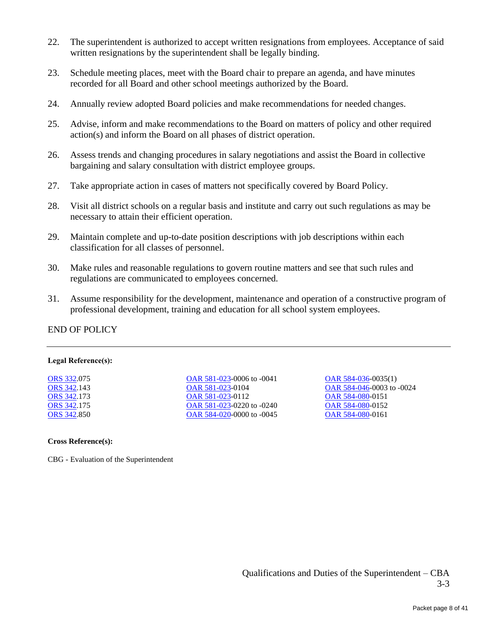- 22. The superintendent is authorized to accept written resignations from employees. Acceptance of said written resignations by the superintendent shall be legally binding.
- 23. Schedule meeting places, meet with the Board chair to prepare an agenda, and have minutes recorded for all Board and other school meetings authorized by the Board.
- 24. Annually review adopted Board policies and make recommendations for needed changes.
- 25. Advise, inform and make recommendations to the Board on matters of policy and other required action(s) and inform the Board on all phases of district operation.
- 26. Assess trends and changing procedures in salary negotiations and assist the Board in collective bargaining and salary consultation with district employee groups.
- 27. Take appropriate action in cases of matters not specifically covered by Board Policy.
- 28. Visit all district schools on a regular basis and institute and carry out such regulations as may be necessary to attain their efficient operation.
- 29. Maintain complete and up-to-date position descriptions with job descriptions within each classification for all classes of personnel.
- 30. Make rules and reasonable regulations to govern routine matters and see that such rules and regulations are communicated to employees concerned.
- 31. Assume responsibility for the development, maintenance and operation of a constructive program of professional development, training and education for all school system employees.

#### END OF POLICY

#### **Legal Reference(s):**

[ORS 332.](http://policy.osba.org/orsredir.asp?ors=ors-332)075 [ORS 342.](http://policy.osba.org/orsredir.asp?ors=ors-342)143 [ORS 342.](http://policy.osba.org/orsredir.asp?ors=ors-342)173 [ORS 342.](http://policy.osba.org/orsredir.asp?ors=ors-342)175 [ORS 342.](http://policy.osba.org/orsredir.asp?ors=ors-342)850 [OAR 581-023-](http://policy.osba.org/orsredir.asp?ors=oar-581-023)0006 to -0041 [OAR 581-023-](http://policy.osba.org/orsredir.asp?ors=oar-581-023)0104 [OAR 581-023-](http://policy.osba.org/orsredir.asp?ors=oar-581-023)0112 [OAR 581-023-](http://policy.osba.org/orsredir.asp?ors=oar-581-023)0220 to -0240 [OAR 584-020-](http://policy.osba.org/orsredir.asp?ors=oar-584-020)0000 to -0045 [OAR 584-036-](http://policy.osba.org/orsredir.asp?ors=oar-584-036)0035(1) [OAR 584-046-](http://policy.osba.org/orsredir.asp?ors=oar-584-046)0003 to -0024 [OAR 584-080-](http://policy.osba.org/orsredir.asp?ors=oar-584-080)0151 [OAR 584-080-](http://policy.osba.org/orsredir.asp?ors=oar-584-080)0152 [OAR 584-080-](http://policy.osba.org/orsredir.asp?ors=oar-584-080)0161

#### **Cross Reference(s):**

CBG - Evaluation of the Superintendent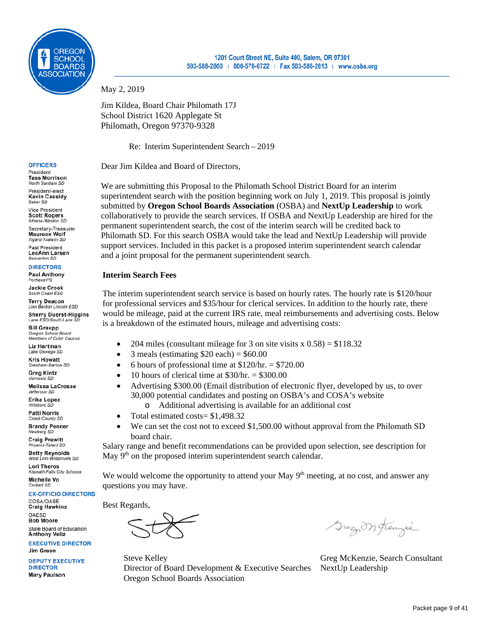

May 2, 2019

Jim Kildea, Board Chair Philomath 17J School District 1620 Applegate St Philomath, Oregon 97370-9328

Re: Interim Superintendent Search – 2019

Dear Jim Kildea and Board of Directors,

We are submitting this Proposal to the Philomath School District Board for an interim superintendent search with the position beginning work on July 1, 2019. This proposal is jointly submitted by **Oregon School Boards Association** (OSBA) and **NextUp Leadership** to work collaboratively to provide the search services. If OSBA and NextUp Leadership are hired for the permanent superintendent search, the cost of the interim search will be credited back to Philomath SD. For this search OSBA would take the lead and NextUp Leadership will provide support services. Included in this packet is a proposed interim superintendent search calendar and a joint proposal for the permanent superintendent search.

#### **Interim Search Fees**

The interim superintendent search service is based on hourly rates. The hourly rate is \$120/hour for professional services and \$35/hour for clerical services. In addition to the hourly rate, there would be mileage, paid at the current IRS rate, meal reimbursements and advertising costs. Below is a breakdown of the estimated hours, mileage and advertising costs:

- 204 miles (consultant mileage for 3 on site visits  $x\left(0.58\right) = $118.32$
- 3 meals (estimating  $$20$  each) =  $$60.00$
- 6 hours of professional time at  $$120/hr. = $720.00$
- 10 hours of clerical time at  $$30/hr = $300.00$
- Advertising \$300.00 (Email distribution of electronic flyer, developed by us, to over 30,000 potential candidates and posting on OSBA's and COSA's website
	- o Additional advertising is available for an additional cost
- Total estimated costs = \$1,498.32
- We can set the cost not to exceed \$1,500.00 without approval from the Philomath SD board chair.

Salary range and benefit recommendations can be provided upon selection, see description for May 9<sup>th</sup> on the proposed interim superintendent search calendar.

We would welcome the opportunity to attend your May  $9<sup>th</sup>$  meeting, at no cost, and answer any questions you may have.

Best Regards,

Steve Kelley Greg McKenzie, Search Consultant Director of Board Development & Executive Searches NextUp Leadership Oregon School Boards Association

Gregon frenzie

#### **OFFICERS**

President **Tass Morrison** North Santiam SD

President-elect **Kevin Cassidy Baker SD** 

Vice President **Scott Rogers** Athena-Weston SD

Secretary-Treasurer **Maureen Wolf** Tigard-Tualatin SD Past President

LeeAnn Larsen **Beaverton SD** 

#### **DIRECTORS**

**Paul Anthony** Portland PS

Jackie Crook South Coast ESD

**Terry Deacon** Linn Benton Lincoln ESD Sherry Duerst-Higgins<br>Lane ESD/South Lane SD

**Bill Graupp CHILICAL**<br>**Oregon School Board**<br>Members of Color Caucus

Liz Hartman Lake Oswego SD

Kris Howatt Gresham-Barlow SD

**Greg Kintz** ia SD

**Melissa LaCrosse** Jefferson SD

Erika Lopez

Hillsboro SL **Patti Norris** 

Crook County SD **Brandy Penner** Newberg SD

**Craig Prewitt** Phoenix-Talent SD

**Betty Reynolds** West Linn-Wilsonville SD

**Lori Theros Klamath Falls City Schools** Michelle Vo

Corbett SD

**EX-OFFICIO DIRECTORS** COSA/OASE

**Craig Hawkins** OAESD **Bob Moore** State Board of Education

**EXECUTIVE DIRECTOR** Jim Green

**DEPUTY EXECUTIVE DIRECTOR Mary Paulson** 

**Anthony Veliz**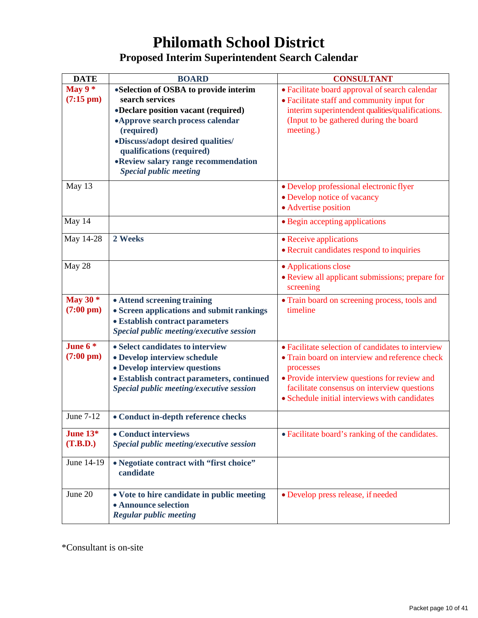## **Philomath School District Proposed Interim Superintendent Search Calendar**

| <b>DATE</b>                       | <b>BOARD</b>                                                                                                                                                                                                                                                                                  | <b>CONSULTANT</b>                                                                                                                                                                                                                                                |
|-----------------------------------|-----------------------------------------------------------------------------------------------------------------------------------------------------------------------------------------------------------------------------------------------------------------------------------------------|------------------------------------------------------------------------------------------------------------------------------------------------------------------------------------------------------------------------------------------------------------------|
| May $9*$<br>$(7:15 \text{ pm})$   | •Selection of OSBA to provide interim<br>search services<br>•Declare position vacant (required)<br>• Approve search process calendar<br>(required)<br>•Discuss/adopt desired qualities/<br>qualifications (required)<br>• Review salary range recommendation<br><b>Special public meeting</b> | • Facilitate board approval of search calendar<br>• Facilitate staff and community input for<br>interim superintendent qualities/qualifications.<br>(Input to be gathered during the board<br>meeting.)                                                          |
| May 13                            |                                                                                                                                                                                                                                                                                               | • Develop professional electronic flyer<br>• Develop notice of vacancy<br>• Advertise position                                                                                                                                                                   |
| May 14                            |                                                                                                                                                                                                                                                                                               | • Begin accepting applications                                                                                                                                                                                                                                   |
| May 14-28                         | 2 Weeks                                                                                                                                                                                                                                                                                       | • Receive applications<br>• Recruit candidates respond to inquiries                                                                                                                                                                                              |
| May 28                            |                                                                                                                                                                                                                                                                                               | • Applications close<br>• Review all applicant submissions; prepare for<br>screening                                                                                                                                                                             |
| May 30 $*$<br>$(7:00 \text{ pm})$ | • Attend screening training<br>• Screen applications and submit rankings<br>• Establish contract parameters<br>Special public meeting/executive session                                                                                                                                       | • Train board on screening process, tools and<br>timeline                                                                                                                                                                                                        |
| June $6*$<br>$(7:00 \text{ pm})$  | • Select candidates to interview<br>· Develop interview schedule<br>• Develop interview questions<br>· Establish contract parameters, continued<br>Special public meeting/executive session                                                                                                   | • Facilitate selection of candidates to interview<br>• Train board on interview and reference check<br>processes<br>• Provide interview questions for review and<br>facilitate consensus on interview questions<br>• Schedule initial interviews with candidates |
| June 7-12                         | • Conduct in-depth reference checks                                                                                                                                                                                                                                                           |                                                                                                                                                                                                                                                                  |
| June $13*$<br>(T.B.D.)            | • Conduct interviews<br>Special public meeting/executive session                                                                                                                                                                                                                              | • Facilitate board's ranking of the candidates.                                                                                                                                                                                                                  |
| June 14-19                        | • Negotiate contract with "first choice"<br>candidate                                                                                                                                                                                                                                         |                                                                                                                                                                                                                                                                  |
| June 20                           | • Vote to hire candidate in public meeting<br>• Announce selection<br><b>Regular public meeting</b>                                                                                                                                                                                           | • Develop press release, if needed                                                                                                                                                                                                                               |

\*Consultant is on-site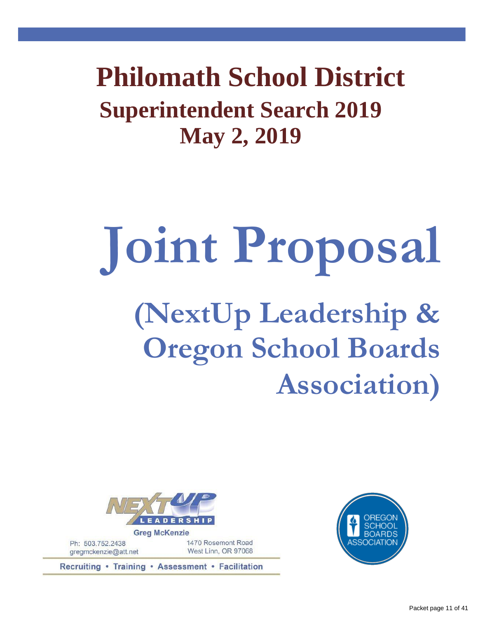**Superintendent Search 2019 May 2, 2019 Philomath School District**

# **Joint Proposal (NextUp Leadership & Oregon School Boards Association)**



Ph: 503.752.2438 gregmckenzie@att.net 1470 Rosemont Road West Linn, OR 97068

Recruiting • Training • Assessment • Facilitation

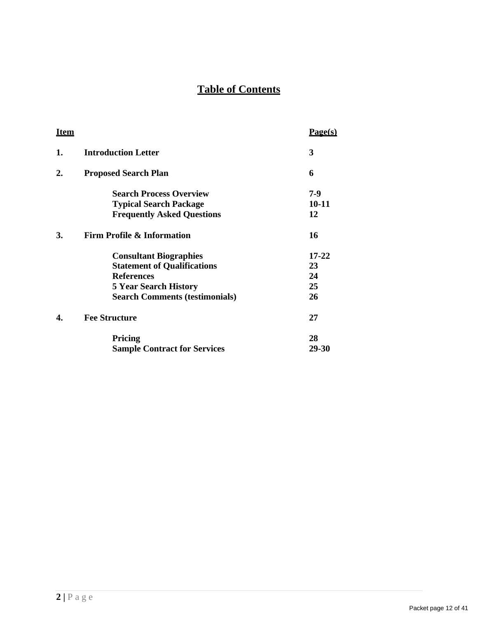### **Table of Contents**

| <u>Item</u>    |                                       | <u>Page(s)</u> |
|----------------|---------------------------------------|----------------|
| 1.             | <b>Introduction Letter</b>            | 3              |
| $\mathbf{2}$ . | <b>Proposed Search Plan</b>           | 6              |
|                | <b>Search Process Overview</b>        | 7-9            |
|                | <b>Typical Search Package</b>         | 10-11          |
|                | <b>Frequently Asked Questions</b>     | 12             |
| 3.             | <b>Firm Profile &amp; Information</b> | 16             |
|                | <b>Consultant Biographies</b>         | $17 - 22$      |
|                | <b>Statement of Qualifications</b>    | 23             |
|                | <b>References</b>                     | 24             |
|                | <b>5 Year Search History</b>          | 25             |
|                | <b>Search Comments (testimonials)</b> | 26             |
| 4.             | <b>Fee Structure</b>                  | 27             |
|                | Pricing                               | 28             |
|                | <b>Sample Contract for Services</b>   | 29-30          |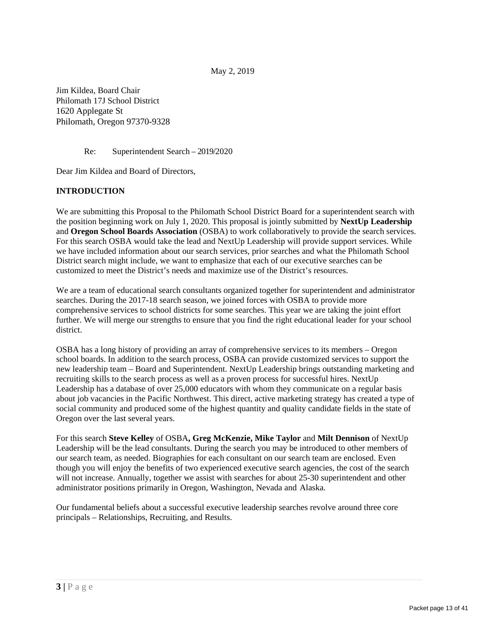May 2, 2019

Jim Kildea, Board Chair Philomath 17J School District 1620 Applegate St Philomath, Oregon 97370-9328

Re: Superintendent Search – 2019/2020

Dear Jim Kildea and Board of Directors,

#### **INTRODUCTION**

We are submitting this Proposal to the Philomath School District Board for a superintendent search with the position beginning work on July 1, 2020. This proposal is jointly submitted by **NextUp Leadership**  and **Oregon School Boards Association** (OSBA) to work collaboratively to provide the search services. For this search OSBA would take the lead and NextUp Leadership will provide support services. While we have included information about our search services, prior searches and what the Philomath School District search might include, we want to emphasize that each of our executive searches can be customized to meet the District's needs and maximize use of the District's resources.

We are a team of educational search consultants organized together for superintendent and administrator searches. During the 2017-18 search season, we joined forces with OSBA to provide more comprehensive services to school districts for some searches. This year we are taking the joint effort further. We will merge our strengths to ensure that you find the right educational leader for your school district.

OSBA has a long history of providing an array of comprehensive services to its members – Oregon school boards. In addition to the search process, OSBA can provide customized services to support the new leadership team – Board and Superintendent. NextUp Leadership brings outstanding marketing and recruiting skills to the search process as well as a proven process for successful hires. NextUp Leadership has a database of over 25,000 educators with whom they communicate on a regular basis about job vacancies in the Pacific Northwest. This direct, active marketing strategy has created a type of social community and produced some of the highest quantity and quality candidate fields in the state of Oregon over the last several years.

For this search **Steve Kelley** of OSBA**, Greg McKenzie, Mike Taylor** and **Milt Dennison** of NextUp Leadership will be the lead consultants. During the search you may be introduced to other members of our search team, as needed. Biographies for each consultant on our search team are enclosed. Even though you will enjoy the benefits of two experienced executive search agencies, the cost of the search will not increase. Annually, together we assist with searches for about 25-30 superintendent and other administrator positions primarily in Oregon, Washington, Nevada and Alaska.

Our fundamental beliefs about a successful executive leadership searches revolve around three core principals – Relationships, Recruiting, and Results.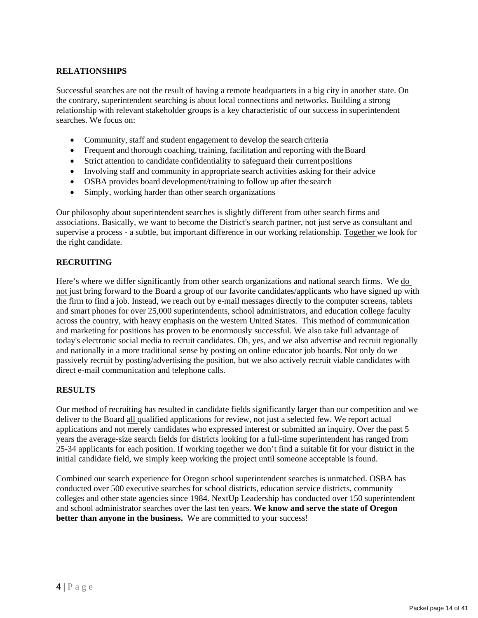#### **RELATIONSHIPS**

Successful searches are not the result of having a remote headquarters in a big city in another state. On the contrary, superintendent searching is about local connections and networks. Building a strong relationship with relevant stakeholder groups is a key characteristic of our success in superintendent searches. We focus on:

- Community, staff and student engagement to develop the search criteria
- Frequent and thorough coaching, training, facilitation and reporting with theBoard
- Strict attention to candidate confidentiality to safeguard their currentpositions
- Involving staff and community in appropriate search activities asking for their advice
- OSBA provides board development/training to follow up after the search
- Simply, working harder than other search organizations

Our philosophy about superintendent searches is slightly different from other search firms and associations. Basically, we want to become the District's search partner, not just serve as consultant and supervise a process - a subtle, but important difference in our working relationship. Together we look for the right candidate.

#### **RECRUITING**

Here's where we differ significantly from other search organizations and national search firms. We do not just bring forward to the Board a group of our favorite candidates/applicants who have signed up with the firm to find a job. Instead, we reach out by e-mail messages directly to the computer screens, tablets and smart phones for over 25,000 superintendents, school administrators, and education college faculty across the country, with heavy emphasis on the western United States. This method of communication and marketing for positions has proven to be enormously successful. We also take full advantage of today's electronic social media to recruit candidates. Oh, yes, and we also advertise and recruit regionally and nationally in a more traditional sense by posting on online educator job boards. Not only do we passively recruit by posting/advertising the position, but we also actively recruit viable candidates with direct e-mail communication and telephone calls.

#### **RESULTS**

Our method of recruiting has resulted in candidate fields significantly larger than our competition and we deliver to the Board all qualified applications for review, not just a selected few. We report actual applications and not merely candidates who expressed interest or submitted an inquiry. Over the past 5 years the average-size search fields for districts looking for a full-time superintendent has ranged from 25-34 applicants for each position. If working together we don't find a suitable fit for your district in the initial candidate field, we simply keep working the project until someone acceptable is found.

Combined our search experience for Oregon school superintendent searches is unmatched. OSBA has conducted over 500 executive searches for school districts, education service districts, community colleges and other state agencies since 1984. NextUp Leadership has conducted over 150 superintendent and school administrator searches over the last ten years. **We know and serve the state of Oregon better than anyone in the business.** We are committed to your success!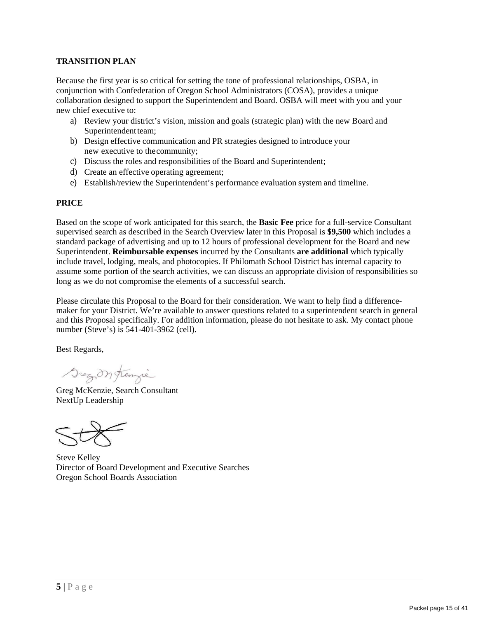#### **TRANSITION PLAN**

Because the first year is so critical for setting the tone of professional relationships, OSBA, in conjunction with Confederation of Oregon School Administrators (COSA), provides a unique collaboration designed to support the Superintendent and Board. OSBA will meet with you and your new chief executive to:

- a) Review your district's vision, mission and goals (strategic plan) with the new Board and Superintendent team;
- b) Design effective communication and PR strategies designed to introduce your new executive to thecommunity;
- c) Discuss the roles and responsibilities of the Board and Superintendent;
- d) Create an effective operating agreement;
- e) Establish/review the Superintendent's performance evaluation system and timeline.

#### **PRICE**

Based on the scope of work anticipated for this search, the **Basic Fee** price for a full-service Consultant supervised search as described in the Search Overview later in this Proposal is **\$9,500** which includes a standard package of advertising and up to 12 hours of professional development for the Board and new Superintendent. **Reimbursable expenses** incurred by the Consultants **are additional** which typically include travel, lodging, meals, and photocopies. If Philomath School District has internal capacity to assume some portion of the search activities, we can discuss an appropriate division of responsibilities so long as we do not compromise the elements of a successful search.

Please circulate this Proposal to the Board for their consideration. We want to help find a differencemaker for your District. We're available to answer questions related to a superintendent search in general and this Proposal specifically. For addition information, please do not hesitate to ask. My contact phone number (Steve's) is 541-401-3962 (cell).

Best Regards,

Gregon frenzie

Greg McKenzie, Search Consultant NextUp Leadership



Steve Kelley Director of Board Development and Executive Searches Oregon School Boards Association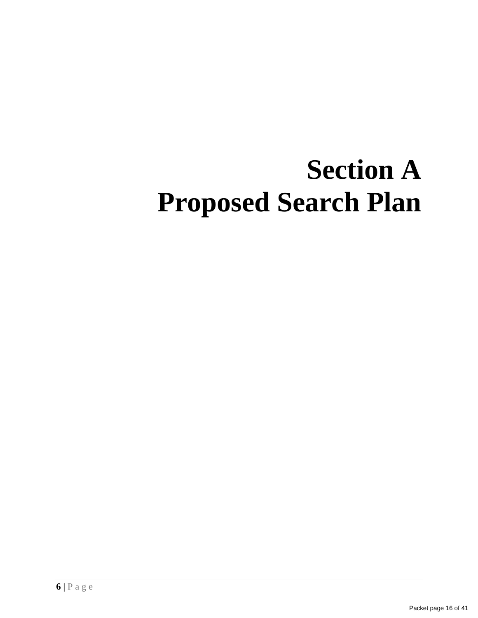## **Section A Proposed Search Plan**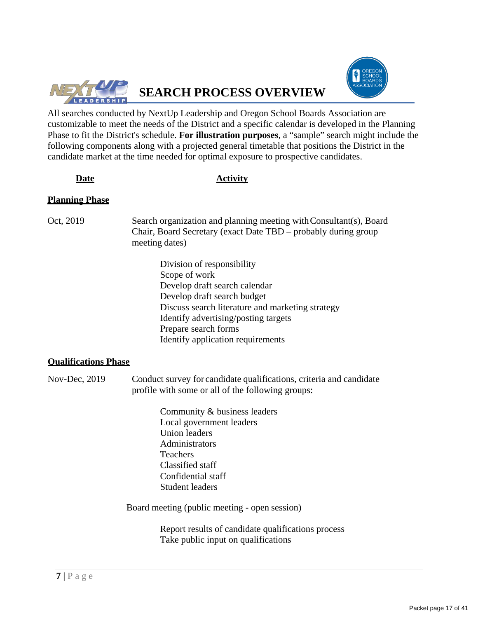



All searches conducted by NextUp Leadership and Oregon School Boards Association are customizable to meet the needs of the District and a specific calendar is developed in the Planning Phase to fit the District's schedule. **For illustration purposes**, a "sample" search might include the following components along with a projected general timetable that positions the District in the candidate market at the time needed for optimal exposure to prospective candidates.

#### **Date Activity**

#### **Planning Phase**

- Oct, 2019 Search organization and planning meeting withConsultant(s), Board Chair, Board Secretary (exact Date TBD – probably during group meeting dates)
	- Division of responsibility Scope of work Develop draft search calendar Develop draft search budget Discuss search literature and marketing strategy Identify advertising/posting targets Prepare search forms Identify application requirements

#### **Qualifications Phase**

Nov-Dec, 2019 Conduct survey for candidate qualifications, criteria and candidate profile with some or all of the following groups:

> Community & business leaders Local government leaders Union leaders Administrators Teachers Classified staff Confidential staff Student leaders

Board meeting (public meeting - open session)

Report results of candidate qualifications process Take public input on qualifications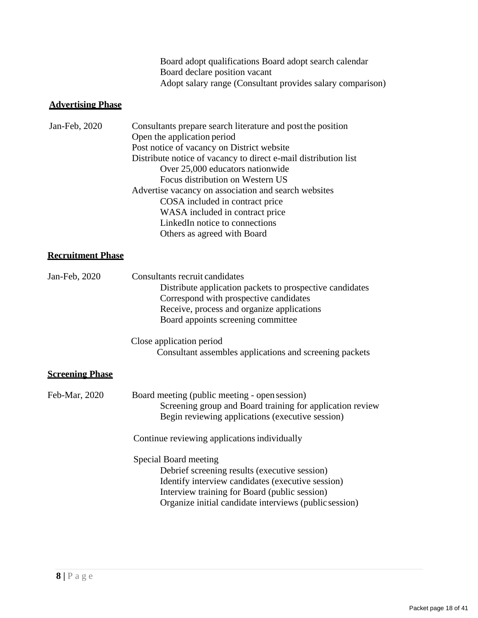| Board adopt qualifications Board adopt search calendar     |
|------------------------------------------------------------|
| Board declare position vacant                              |
| Adopt salary range (Consultant provides salary comparison) |

#### **Advertising Phase**

| Jan-Feb, 2020 | Consultants prepare search literature and post the position     |
|---------------|-----------------------------------------------------------------|
|               | Open the application period                                     |
|               | Post notice of vacancy on District website                      |
|               | Distribute notice of vacancy to direct e-mail distribution list |
|               | Over 25,000 educators nationwide                                |
|               | Focus distribution on Western US                                |
|               | Advertise vacancy on association and search websites            |
|               | COSA included in contract price                                 |
|               | WASA included in contract price                                 |
|               | LinkedIn notice to connections                                  |
|               | Others as agreed with Board                                     |

#### **Recruitment Phase**

| Jan-Feb, 2020          | Consultants recruit candidates<br>Distribute application packets to prospective candidates<br>Correspond with prospective candidates<br>Receive, process and organize applications<br>Board appoints screening committee               |
|------------------------|----------------------------------------------------------------------------------------------------------------------------------------------------------------------------------------------------------------------------------------|
|                        | Close application period<br>Consultant assembles applications and screening packets                                                                                                                                                    |
| <u>Screening Phase</u> |                                                                                                                                                                                                                                        |
| Feb-Mar, 2020          | Board meeting (public meeting - open session)<br>Screening group and Board training for application review<br>Begin reviewing applications (executive session)                                                                         |
|                        | Continue reviewing applications individually                                                                                                                                                                                           |
|                        | Special Board meeting<br>Debrief screening results (executive session)<br>Identify interview candidates (executive session)<br>Interview training for Board (public session)<br>Organize initial candidate interviews (public session) |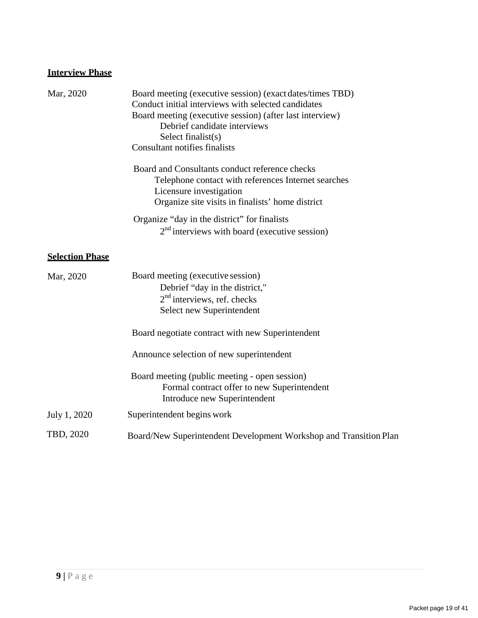#### **Interview Phase**

| Mar, 2020              | Board meeting (executive session) (exact dates/times TBD)<br>Conduct initial interviews with selected candidates<br>Board meeting (executive session) (after last interview)<br>Debrief candidate interviews<br>Select finalist(s)<br><b>Consultant notifies finalists</b> |
|------------------------|----------------------------------------------------------------------------------------------------------------------------------------------------------------------------------------------------------------------------------------------------------------------------|
|                        | Board and Consultants conduct reference checks<br>Telephone contact with references Internet searches<br>Licensure investigation<br>Organize site visits in finalists' home district                                                                                       |
|                        | Organize "day in the district" for finalists<br>$2nd$ interviews with board (executive session)                                                                                                                                                                            |
| <b>Selection Phase</b> |                                                                                                                                                                                                                                                                            |
| Mar, 2020              | Board meeting (executive session)<br>Debrief "day in the district,"<br>$2nd$ interviews, ref. checks<br>Select new Superintendent                                                                                                                                          |
|                        | Board negotiate contract with new Superintendent                                                                                                                                                                                                                           |
|                        | Announce selection of new superintendent                                                                                                                                                                                                                                   |
|                        | Board meeting (public meeting - open session)<br>Formal contract offer to new Superintendent<br>Introduce new Superintendent                                                                                                                                               |
| July 1, 2020           | Superintendent begins work                                                                                                                                                                                                                                                 |
| TBD, 2020              | Board/New Superintendent Development Workshop and Transition Plan                                                                                                                                                                                                          |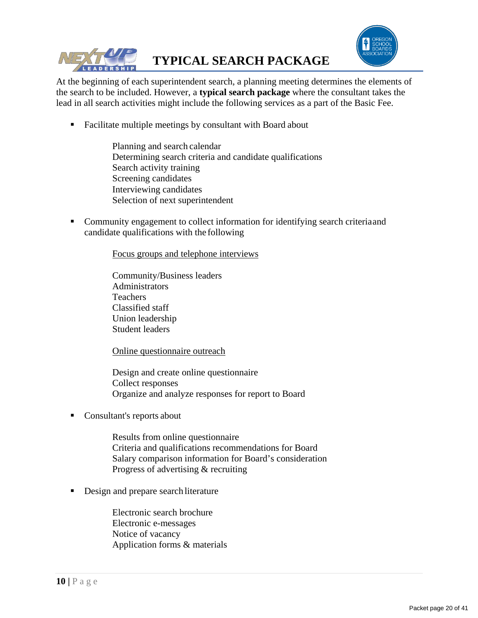



At the beginning of each superintendent search, a planning meeting determines the elements of the search to be included. However, a **typical search package** where the consultant takes the lead in all search activities might include the following services as a part of the Basic Fee.

- Facilitate multiple meetings by consultant with Board about
	- Planning and search calendar Determining search criteria and candidate qualifications Search activity training Screening candidates Interviewing candidates Selection of next superintendent
- Community engagement to collect information for identifying search criteriaand candidate qualifications with the following

Focus groups and telephone interviews

Community/Business leaders Administrators **Teachers** Classified staff Union leadership Student leaders

Online questionnaire outreach

Design and create online questionnaire Collect responses Organize and analyze responses for report to Board

Consultant's reports about

Results from online questionnaire Criteria and qualifications recommendations for Board Salary comparison information for Board's consideration Progress of advertising & recruiting

Design and prepare search literature

Electronic search brochure Electronic e-messages Notice of vacancy Application forms & materials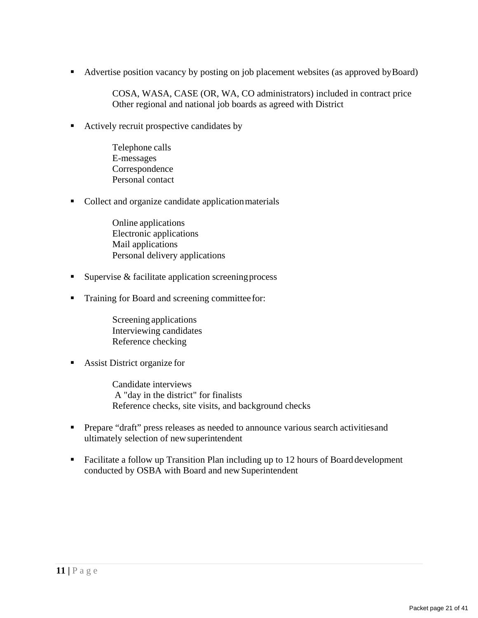Advertise position vacancy by posting on job placement websites (as approved by Board)

COSA, WASA, CASE (OR, WA, CO administrators) included in contract price Other regional and national job boards as agreed with District

Actively recruit prospective candidates by

Telephone calls E-messages Correspondence Personal contact

• Collect and organize candidate application materials

Online applications Electronic applications Mail applications Personal delivery applications

- Supervise  $&$  facilitate application screening process
- **Training for Board and screening committee for:**

Screening applications Interviewing candidates Reference checking

Assist District organize for

Candidate interviews A "day in the district" for finalists Reference checks, site visits, and background checks

- **Prepare "draft" press releases as needed to announce various search activities and** ultimately selection of newsuperintendent
- Facilitate a follow up Transition Plan including up to 12 hours of Board development conducted by OSBA with Board and new Superintendent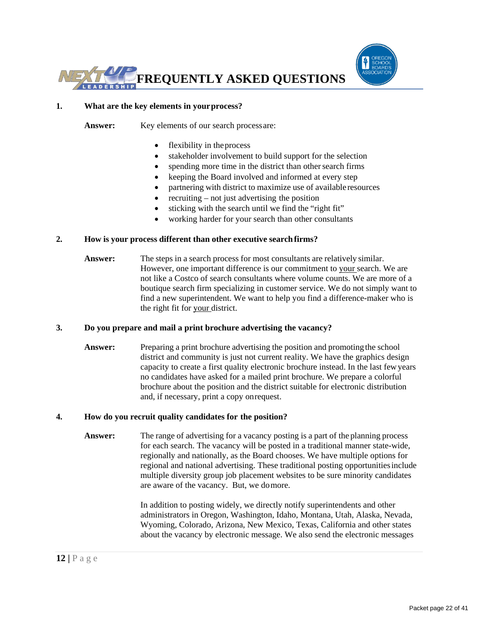



#### **1. What are the key elements in yourprocess?**

Answer: Key elements of our search process are:

- flexibility in the process
- stakeholder involvement to build support for the selection
- spending more time in the district than other search firms
- keeping the Board involved and informed at every step
- partnering with district to maximize use of available resources
- recruiting not just advertising the position
- sticking with the search until we find the "right fit"
- working harder for your search than other consultants

#### **2. How is your process different than other executive searchfirms?**

**Answer:** The steps in a search process for most consultants are relatively similar. However, one important difference is our commitment to your search. We are not like a Costco of search consultants where volume counts. We are more of a boutique search firm specializing in customer service. We do not simply want to find a new superintendent. We want to help you find a difference-maker who is the right fit for your district.

#### **3. Do you prepare and mail a print brochure advertising the vacancy?**

Answer: Preparing a print brochure advertising the position and promoting the school district and community is just not current reality. We have the graphics design capacity to create a first quality electronic brochure instead. In the last fewyears no candidates have asked for a mailed print brochure. We prepare a colorful brochure about the position and the district suitable for electronic distribution and, if necessary, print a copy onrequest.

#### **4. How do you recruit quality candidates for the position?**

**Answer:** The range of advertising for a vacancy posting is a part of the planning process for each search. The vacancy will be posted in a traditional manner state-wide, regionally and nationally, as the Board chooses. We have multiple options for regional and national advertising. These traditional posting opportunitiesinclude multiple diversity group job placement websites to be sure minority candidates are aware of the vacancy. But, we domore.

> In addition to posting widely, we directly notify superintendents and other administrators in Oregon, Washington, Idaho, Montana, Utah, Alaska, Nevada, Wyoming, Colorado, Arizona, New Mexico, Texas, California and other states about the vacancy by electronic message. We also send the electronic messages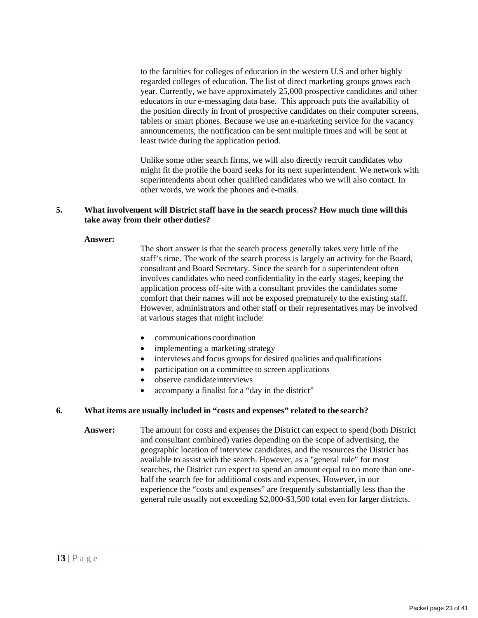to the faculties for colleges of education in the western U.S and other highly regarded colleges of education. The list of direct marketing groups grows each year. Currently, we have approximately 25,000 prospective candidates and other educators in our e-messaging data base. This approach puts the availability of the position directly in front of prospective candidates on their computer screens, tablets or smart phones. Because we use an e-marketing service for the vacancy announcements, the notification can be sent multiple times and will be sent at least twice during the application period.

Unlike some other search firms, we will also directly recruit candidates who might fit the profile the board seeks for its next superintendent. We network with superintendents about other qualified candidates who we will also contact. In other words, we work the phones and e-mails.

#### **5. What involvement will District staff have in the search process? How much time willthis take away from their otherduties?**

#### **Answer:**

The short answer is that the search process generally takes very little of the staff's time. The work of the search process is largely an activity for the Board, consultant and Board Secretary. Since the search for a superintendent often involves candidates who need confidentiality in the early stages, keeping the application process off-site with a consultant provides the candidates some comfort that their names will not be exposed prematurely to the existing staff. However, administrators and other staff or their representatives may be involved at various stages that might include:

- communications coordination
- implementing a marketing strategy
- interviews and focus groups for desired qualities and qualifications
- participation on a committee to screen applications
- observe candidateinterviews
- accompany a finalist for a "day in the district"

#### **6. What items are usually included in "costs and expenses" related to the search?**

**Answer:** The amount for costs and expenses the District can expect to spend (both District and consultant combined) varies depending on the scope of advertising, the geographic location of interview candidates, and the resources the District has available to assist with the search. However, as a "general rule" for most searches, the District can expect to spend an amount equal to no more than onehalf the search fee for additional costs and expenses. However, in our experience the "costs and expenses" are frequently substantially less than the general rule usually not exceeding \$2,000-\$3,500 total even for larger districts.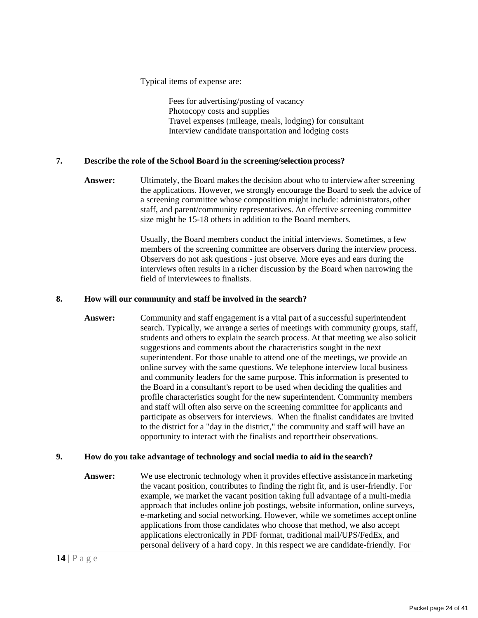Typical items of expense are:

Fees for advertising/posting of vacancy Photocopy costs and supplies Travel expenses (mileage, meals, lodging) for consultant Interview candidate transportation and lodging costs

#### **7. Describe the role of the School Board in the screening/selection process?**

**Answer:** Ultimately, the Board makes the decision about who to interviewafter screening the applications. However, we strongly encourage the Board to seek the advice of a screening committee whose composition might include: administrators, other staff, and parent/community representatives. An effective screening committee size might be 15-18 others in addition to the Board members.

> Usually, the Board members conduct the initial interviews. Sometimes, a few members of the screening committee are observers during the interview process. Observers do not ask questions - just observe. More eyes and ears during the interviews often results in a richer discussion by the Board when narrowing the field of interviewees to finalists.

#### **8. How will our community and staff be involved in the search?**

**Answer:** Community and staff engagement is a vital part of a successful superintendent search. Typically, we arrange a series of meetings with community groups, staff, students and others to explain the search process. At that meeting we also solicit suggestions and comments about the characteristics sought in the next superintendent. For those unable to attend one of the meetings, we provide an online survey with the same questions. We telephone interview local business and community leaders for the same purpose. This information is presented to the Board in a consultant's report to be used when deciding the qualities and profile characteristics sought for the new superintendent. Community members and staff will often also serve on the screening committee for applicants and participate as observers for interviews. When the finalist candidates are invited to the district for a "day in the district," the community and staff will have an opportunity to interact with the finalists and reporttheir observations.

#### **9. How do you take advantage of technology and social media to aid in the search?**

**Answer:** We use electronic technology when it provides effective assistance in marketing the vacant position, contributes to finding the right fit, and is user-friendly. For example, we market the vacant position taking full advantage of a multi-media approach that includes online job postings, website information, online surveys, e-marketing and social networking. However, while we sometimes accept online applications from those candidates who choose that method, we also accept applications electronically in PDF format, traditional mail/UPS/FedEx, and personal delivery of a hard copy. In this respect we are candidate-friendly. For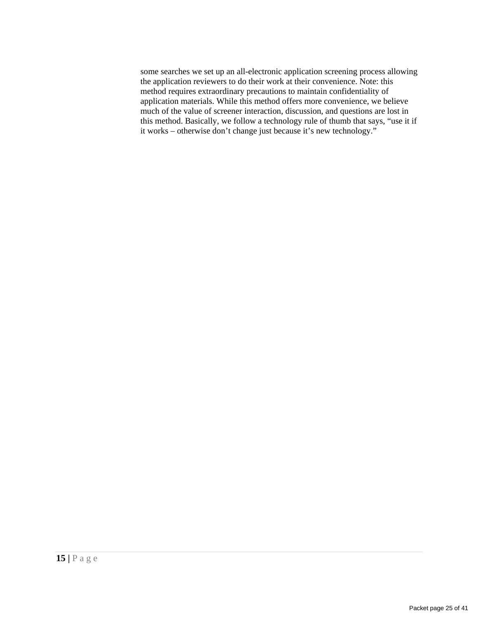some searches we set up an all-electronic application screening process allowing the application reviewers to do their work at their convenience. Note: this method requires extraordinary precautions to maintain confidentiality of application materials. While this method offers more convenience, we believe much of the value of screener interaction, discussion, and questions are lost in this method. Basically, we follow a technology rule of thumb that says, "use it if it works – otherwise don't change just because it's new technology."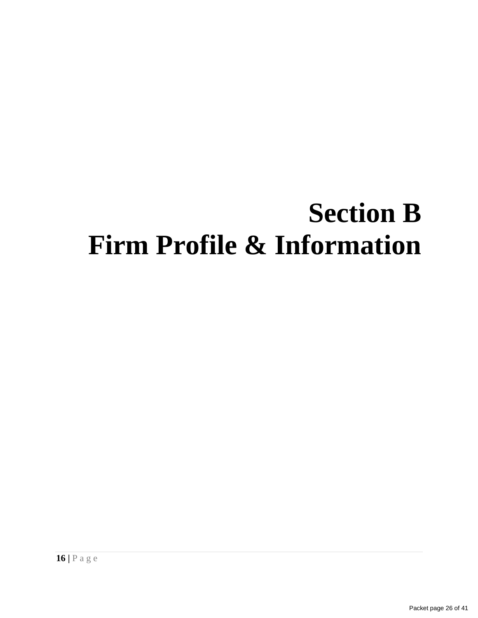## **Section B Firm Profile & Information**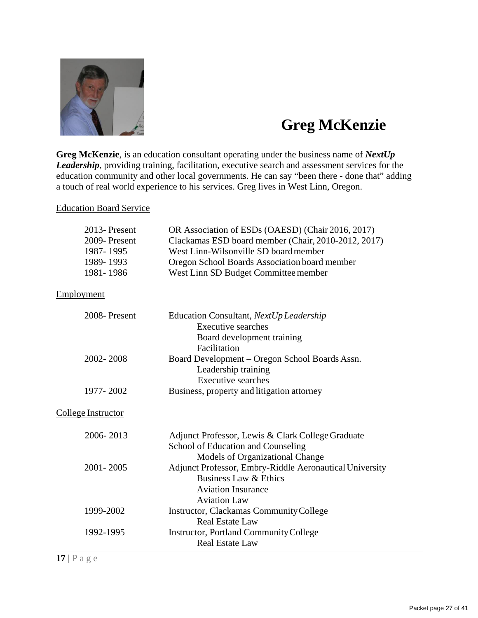

## **Greg McKenzie**

**Greg McKenzie**, is an education consultant operating under the business name of *NextUp Leadership*, providing training, facilitation, executive search and assessment services for the education community and other local governments. He can say "been there - done that" adding a touch of real world experience to his services. Greg lives in West Linn, Oregon.

#### Education Board Service

| 2013-Present<br>2009-Present<br>1987-1995 | OR Association of ESDs (OAESD) (Chair 2016, 2017)<br>Clackamas ESD board member (Chair, 2010-2012, 2017)<br>West Linn-Wilsonville SD board member |
|-------------------------------------------|---------------------------------------------------------------------------------------------------------------------------------------------------|
| 1989-1993                                 |                                                                                                                                                   |
| 1981-1986                                 | Oregon School Boards Association board member<br>West Linn SD Budget Committee member                                                             |
| Employment                                |                                                                                                                                                   |
| 2008-Present                              | Education Consultant, NextUp Leadership<br><b>Executive searches</b><br>Board development training<br>Facilitation                                |
| 2002-2008                                 | Board Development - Oregon School Boards Assn.<br>Leadership training<br><b>Executive searches</b>                                                |
| 1977-2002                                 | Business, property and litigation attorney                                                                                                        |
| <b>College Instructor</b>                 |                                                                                                                                                   |
| 2006-2013                                 | Adjunct Professor, Lewis & Clark College Graduate<br>School of Education and Counseling<br>Models of Organizational Change                        |
| 2001-2005                                 | Adjunct Professor, Embry-Riddle Aeronautical University<br>Business Law & Ethics<br><b>Aviation Insurance</b><br><b>Aviation Law</b>              |
| 1999-2002                                 | Instructor, Clackamas Community College<br><b>Real Estate Law</b>                                                                                 |
| 1992-1995                                 | Instructor, Portland Community College<br><b>Real Estate Law</b>                                                                                  |

**17 |** P a g e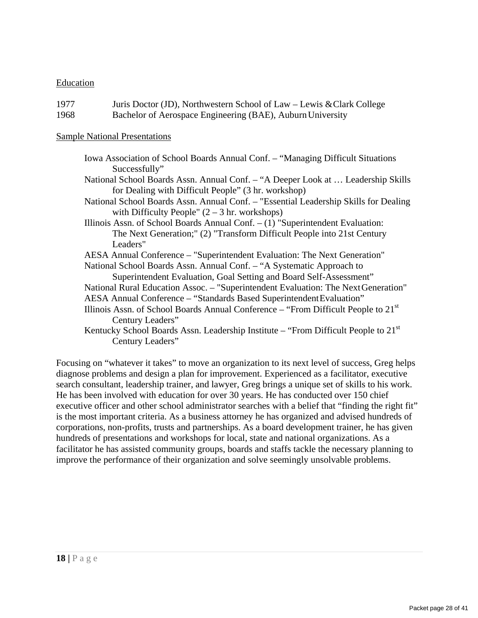#### Education

| 1977 | Juris Doctor (JD), Northwestern School of Law – Lewis & Clark College |
|------|-----------------------------------------------------------------------|
| 1968 | Bachelor of Aerospace Engineering (BAE), Auburn University            |

#### Sample National Presentations

- Iowa Association of School Boards Annual Conf. "Managing Difficult Situations Successfully"
- National School Boards Assn. Annual Conf. "A Deeper Look at … Leadership Skills for Dealing with Difficult People" (3 hr. workshop)
- National School Boards Assn. Annual Conf. "Essential Leadership Skills for Dealing with Difficulty People"  $(2 – 3)$  hr. workshops)
- Illinois Assn. of School Boards Annual Conf. (1) "Superintendent Evaluation: The Next Generation;" (2) "Transform Difficult People into 21st Century Leaders"
- AESA Annual Conference "Superintendent Evaluation: The Next Generation" National School Boards Assn. Annual Conf. – "A Systematic Approach to
	- Superintendent Evaluation, Goal Setting and Board Self-Assessment"
- National Rural Education Assoc. "Superintendent Evaluation: The NextGeneration"
- AESA Annual Conference "Standards Based SuperintendentEvaluation"
- Illinois Assn. of School Boards Annual Conference "From Difficult People to  $21<sup>st</sup>$ Century Leaders"
- Kentucky School Boards Assn. Leadership Institute "From Difficult People to  $21<sup>st</sup>$ Century Leaders"

Focusing on "whatever it takes" to move an organization to its next level of success, Greg helps diagnose problems and design a plan for improvement. Experienced as a facilitator, executive search consultant, leadership trainer, and lawyer, Greg brings a unique set of skills to his work. He has been involved with education for over 30 years. He has conducted over 150 chief executive officer and other school administrator searches with a belief that "finding the right fit" is the most important criteria. As a business attorney he has organized and advised hundreds of corporations, non-profits, trusts and partnerships. As a board development trainer, he has given hundreds of presentations and workshops for local, state and national organizations. As a facilitator he has assisted community groups, boards and staffs tackle the necessary planning to improve the performance of their organization and solve seemingly unsolvable problems.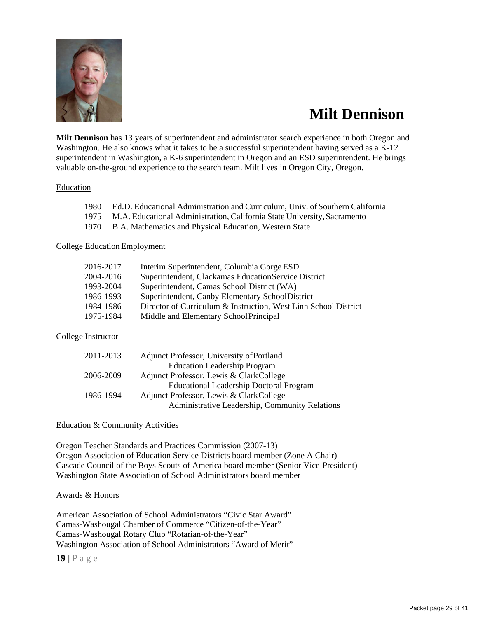

## **Milt Dennison**

**Milt Dennison** has 13 years of superintendent and administrator search experience in both Oregon and Washington. He also knows what it takes to be a successful superintendent having served as a K-12 superintendent in Washington, a K-6 superintendent in Oregon and an ESD superintendent. He brings valuable on-the-ground experience to the search team. Milt lives in Oregon City, Oregon.

#### Education

| $1075$ $\blacksquare$ $\blacksquare$ $\blacksquare$ $\blacksquare$ $\blacksquare$ $\blacksquare$ $\blacksquare$ $\blacksquare$ $\blacksquare$ $\blacksquare$ $\blacksquare$ $\blacksquare$ $\blacksquare$ $\blacksquare$ $\blacksquare$ $\blacksquare$ $\blacksquare$ $\blacksquare$ $\blacksquare$ $\blacksquare$ $\blacksquare$ $\blacksquare$ $\blacksquare$ $\blacksquare$ $\blacksquare$ $\blacksquare$ $\blacksquare$ $\blacksquare$ $\blacksquare$ $\blacksquare$ $\blacks$ |  |
|------------------------------------------------------------------------------------------------------------------------------------------------------------------------------------------------------------------------------------------------------------------------------------------------------------------------------------------------------------------------------------------------------------------------------------------------------------------------------------|--|
| 1980 Ed.D. Educational Administration and Curriculum, Univ. of Southern California                                                                                                                                                                                                                                                                                                                                                                                                 |  |

- 1975 M.A. Educational Administration, California State University,Sacramento
- 1970 B.A. Mathematics and Physical Education, Western State

#### College EducationEmployment

| 2016-2017 | Interim Superintendent, Columbia Gorge ESD                      |
|-----------|-----------------------------------------------------------------|
| 2004-2016 | Superintendent, Clackamas Education Service District            |
| 1993-2004 | Superintendent, Camas School District (WA)                      |
| 1986-1993 | Superintendent, Canby Elementary SchoolDistrict                 |
| 1984-1986 | Director of Curriculum & Instruction, West Linn School District |
| 1975-1984 | Middle and Elementary School Principal                          |

#### College Instructor

| 2011-2013 | Adjunct Professor, University of Portland      |
|-----------|------------------------------------------------|
|           | <b>Education Leadership Program</b>            |
| 2006-2009 | Adjunct Professor, Lewis & ClarkCollege        |
|           | <b>Educational Leadership Doctoral Program</b> |
| 1986-1994 | Adjunct Professor, Lewis & ClarkCollege        |
|           | Administrative Leadership, Community Relations |

#### Education & Community Activities

Oregon Teacher Standards and Practices Commission (2007-13) Oregon Association of Education Service Districts board member (Zone A Chair) Cascade Council of the Boys Scouts of America board member (Senior Vice-President) Washington State Association of School Administrators board member

#### Awards & Honors

American Association of School Administrators "Civic Star Award" Camas-Washougal Chamber of Commerce "Citizen-of-the-Year" Camas-Washougal Rotary Club "Rotarian-of-the-Year" Washington Association of School Administrators "Award of Merit"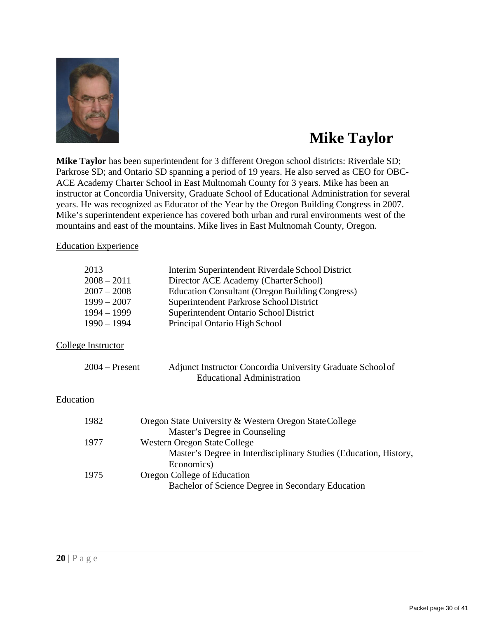

## **Mike Taylor**

**Mike Taylor** has been superintendent for 3 different Oregon school districts: Riverdale SD; Parkrose SD; and Ontario SD spanning a period of 19 years. He also served as CEO for OBC-ACE Academy Charter School in East Multnomah County for 3 years. Mike has been an instructor at Concordia University, Graduate School of Educational Administration for several years. He was recognized as Educator of the Year by the Oregon Building Congress in 2007. Mike's superintendent experience has covered both urban and rural environments west of the mountains and east of the mountains. Mike lives in East Multnomah County, Oregon.

Education Experience

|           | 2013               | Interim Superintendent Riverdale School District                                                |
|-----------|--------------------|-------------------------------------------------------------------------------------------------|
|           | $2008 - 2011$      | Director ACE Academy (Charter School)                                                           |
|           | $2007 - 2008$      | <b>Education Consultant (Oregon Building Congress)</b>                                          |
|           | $1999 - 2007$      | Superintendent Parkrose School District                                                         |
|           | $1994 - 1999$      | Superintendent Ontario School District                                                          |
|           | $1990 - 1994$      | Principal Ontario High School                                                                   |
|           | College Instructor |                                                                                                 |
|           | $2004 -$ Present   | Adjunct Instructor Concordia University Graduate School of<br><b>Educational Administration</b> |
| Education |                    |                                                                                                 |
|           | 1982               | Oregon State University & Western Oregon State College                                          |
|           |                    | Master's Degree in Counseling                                                                   |
|           | 1977               | Western Oregon State College                                                                    |
|           |                    | Master's Degree in Interdisciplinary Studies (Education, History,                               |
|           |                    | Economics)                                                                                      |
|           | 1975               | Oregon College of Education                                                                     |
|           |                    | Bachelor of Science Degree in Secondary Education                                               |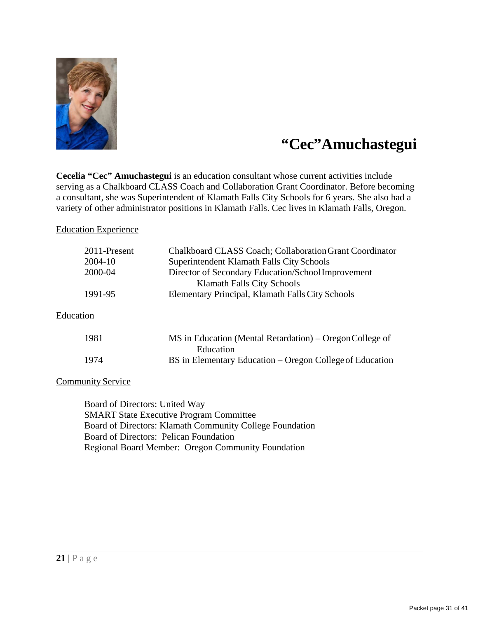

## **"Cec"Amuchastegui**

**Cecelia "Cec" Amuchastegui** is an education consultant whose current activities include serving as a Chalkboard CLASS Coach and Collaboration Grant Coordinator. Before becoming a consultant, she was Superintendent of Klamath Falls City Schools for 6 years. She also had a variety of other administrator positions in Klamath Falls. Cec lives in Klamath Falls, Oregon.

#### Education Experience

| 2011-Present<br>2004-10 | Chalkboard CLASS Coach; Collaboration Grant Coordinator<br>Superintendent Klamath Falls City Schools |
|-------------------------|------------------------------------------------------------------------------------------------------|
| 2000-04                 | Director of Secondary Education/School Improvement<br>Klamath Falls City Schools                     |
| 1991-95                 | Elementary Principal, Klamath Falls City Schools                                                     |
| Education               |                                                                                                      |
| 1981                    | MS in Education (Mental Retardation) – Oregon College of<br>Education                                |
| 1974                    | BS in Elementary Education – Oregon College of Education                                             |

#### **Community Service**

Board of Directors: United Way SMART State Executive Program Committee Board of Directors: Klamath Community College Foundation Board of Directors: Pelican Foundation Regional Board Member: Oregon Community Foundation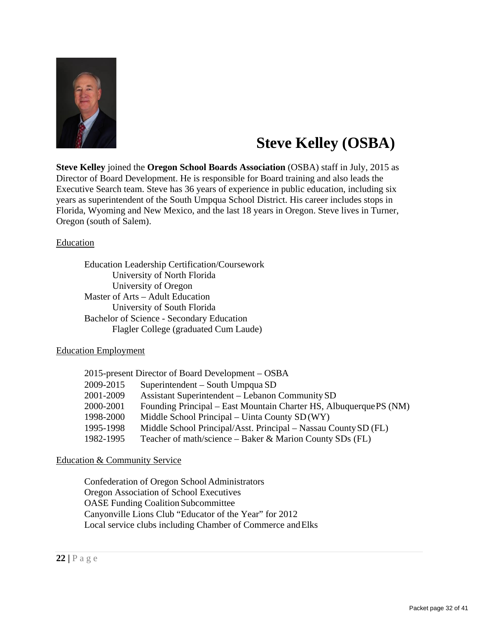

## **Steve Kelley (OSBA)**

**Steve Kelley** joined the **Oregon School Boards Association** (OSBA) staff in July, 2015 as Director of Board Development. He is responsible for Board training and also leads the Executive Search team. Steve has 36 years of experience in public education, including six years as superintendent of the South Umpqua School District. His career includes stops in Florida, Wyoming and New Mexico, and the last 18 years in Oregon. Steve lives in Turner, Oregon (south of Salem).

#### Education

Education Leadership Certification/Coursework University of North Florida University of Oregon Master of Arts – Adult Education University of South Florida Bachelor of Science - Secondary Education Flagler College (graduated Cum Laude)

#### Education Employment

|           | 2015-present Director of Board Development – OSBA                  |
|-----------|--------------------------------------------------------------------|
| 2009-2015 | Superintendent – South Umpqua SD                                   |
| 2001-2009 | <b>Assistant Superintendent – Lebanon Community SD</b>             |
| 2000-2001 | Founding Principal – East Mountain Charter HS, Albuquerque PS (NM) |
| 1998-2000 | Middle School Principal – Uinta County SD (WY)                     |
| 1995-1998 | Middle School Principal/Asst. Principal – Nassau County SD (FL)    |
| 1982-1995 | Teacher of math/science – Baker & Marion County SDs (FL)           |

#### Education & Community Service

Confederation of Oregon School Administrators Oregon Association of School Executives OASE Funding Coalition Subcommittee Canyonville Lions Club "Educator of the Year" for 2012 Local service clubs including Chamber of Commerce andElks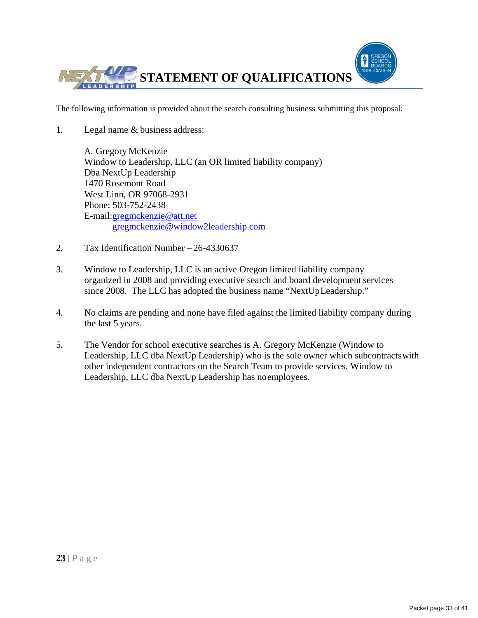

The following information is provided about the search consulting business submitting this proposal:

1. Legal name & business address:

A. Gregory McKenzie Window to Leadership, LLC (an OR limited liability company) Dba NextUp Leadership 1470 Rosemont Road West Linn, OR 97068-2931 Phone: 503-752-2438 E-mail[:gregmckenzie@att.net](mailto:gregmckenzie@att.net)  [gregmckenzie@window2leadership.com](mailto:gregmckenzie@window2leadership.com)

- 2. Tax Identification Number 26-4330637
- 3. Window to Leadership, LLC is an active Oregon limited liability company organized in 2008 and providing executive search and board development services since 2008. The LLC has adopted the business name "NextUpLeadership."
- 4. No claims are pending and none have filed against the limited liability company during the last 5 years.
- 5. The Vendor for school executive searches is A. Gregory McKenzie (Window to Leadership, LLC dba NextUp Leadership) who is the sole owner which subcontractswith other independent contractors on the Search Team to provide services. Window to Leadership, LLC dba NextUp Leadership has noemployees.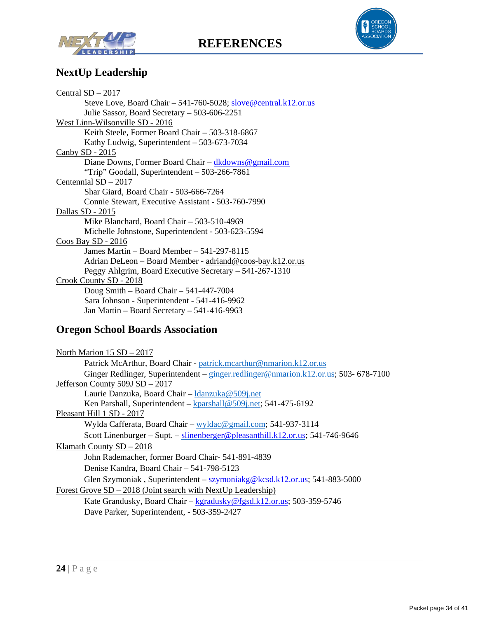





### **NextUp Leadership**

| Central $SD - 2017$                                               |
|-------------------------------------------------------------------|
| Steve Love, Board Chair $-541-760-5028$ ; slove@central.k12.or.us |
| Julie Sassor, Board Secretary – 503-606-2251                      |
| West Linn-Wilsonville SD - 2016                                   |
| Keith Steele, Former Board Chair – 503-318-6867                   |
| Kathy Ludwig, Superintendent – 503-673-7034                       |
| Canby $SD - 2015$                                                 |
| Diane Downs, Former Board Chair – $dkdownø@gmail.com$             |
| "Trip" Goodall, Superintendent – 503-266-7861                     |
| Centennial $SD - 2017$                                            |
| Shar Giard, Board Chair - 503-666-7264                            |
| Connie Stewart, Executive Assistant - 503-760-7990                |
| Dallas SD - 2015                                                  |
| Mike Blanchard, Board Chair – 503-510-4969                        |
| Michelle Johnstone, Superintendent - 503-623-5594                 |
| Coos Bay $SD - 2016$                                              |
| James Martin - Board Member - 541-297-8115                        |
| Adrian DeLeon – Board Member - adriand@coos-bay.k12.or.us         |
| Peggy Ahlgrim, Board Executive Secretary – 541-267-1310           |
| Crook County SD - 2018                                            |
| Doug Smith - Board Chair - 541-447-7004                           |
| Sara Johnson - Superintendent - 541-416-9962                      |
| Jan Martin – Board Secretary – 541-416-9963                       |

## **Oregon School Boards Association**

| North Marion $15 SD - 2017$                                                         |
|-------------------------------------------------------------------------------------|
| Patrick McArthur, Board Chair - patrick.mcarthur@nmarion.k12.or.us                  |
| Ginger Redlinger, Superintendent – ginger.redlinger@nmarion.k12.or.us; 503-678-7100 |
| Jefferson County 509J SD - 2017                                                     |
| Laurie Danzuka, Board Chair - Idanzuka@509j.net                                     |
| Ken Parshall, Superintendent – $kparshall@509j.net; 541-475-6192$                   |
| Pleasant Hill 1 SD - 2017                                                           |
| Wylda Cafferata, Board Chair – wyldac@gmail.com; 541-937-3114                       |
| Scott Linenburger – Supt. – slinenberger@pleasanthill.k12.or.us; 541-746-9646       |
| Klamath County $SD - 2018$                                                          |
| John Rademacher, former Board Chair- 541-891-4839                                   |
| Denise Kandra, Board Chair – 541-798-5123                                           |
| Glen Szymoniak, Superintendent – szymoniakg@kcsd.k12.or.us; 541-883-5000            |
| Forest Grove $SD - 2018$ (Joint search with NextUp Leadership)                      |
| Kate Grandusky, Board Chair – kgradusky@fgsd.k12.or.us; 503-359-5746                |
| Dave Parker, Superintendent, - 503-359-2427                                         |
|                                                                                     |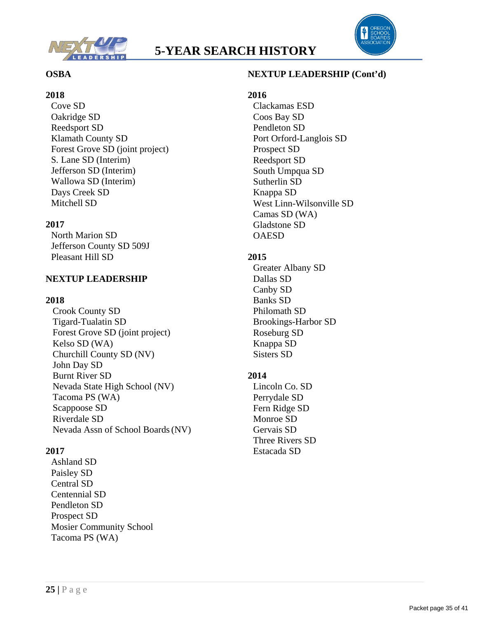

### **5-YEAR SEARCH HISTORY**



#### **OSBA**

#### **2018**

Cove SD Oakridge SD Reedsport SD Klamath County SD Forest Grove SD (joint project) S. Lane SD (Interim) Jefferson SD (Interim) Wallowa SD (Interim) Days Creek SD Mitchell SD

#### **2017**

North Marion SD Jefferson County SD 509J Pleasant Hill SD

#### **NEXTUP LEADERSHIP**

#### **2018**

Crook County SD Tigard-Tualatin SD Forest Grove SD (joint project) Kelso SD (WA) Churchill County SD (NV) John Day SD Burnt River SD Nevada State High School (NV) Tacoma PS (WA) Scappoose SD Riverdale SD Nevada Assn of School Boards(NV)

#### **2017**

Ashland SD Paisley SD Central SD Centennial SD Pendleton SD Prospect SD Mosier Community School Tacoma PS (WA)

#### **NEXTUP LEADERSHIP (Cont'd)**

#### **2016**

Clackamas ESD Coos Bay SD Pendleton SD Port Orford-Langlois SD Prospect SD Reedsport SD South Umpqua SD Sutherlin SD Knappa SD West Linn-Wilsonville SD Camas SD (WA) Gladstone SD **OAESD** 

#### **2015**

Greater Albany SD Dallas SD Canby SD Banks SD Philomath SD Brookings-Harbor SD Roseburg SD Knappa SD Sisters SD

#### **2014**

Lincoln Co. SD Perrydale SD Fern Ridge SD Monroe SD Gervais SD Three Rivers SD Estacada SD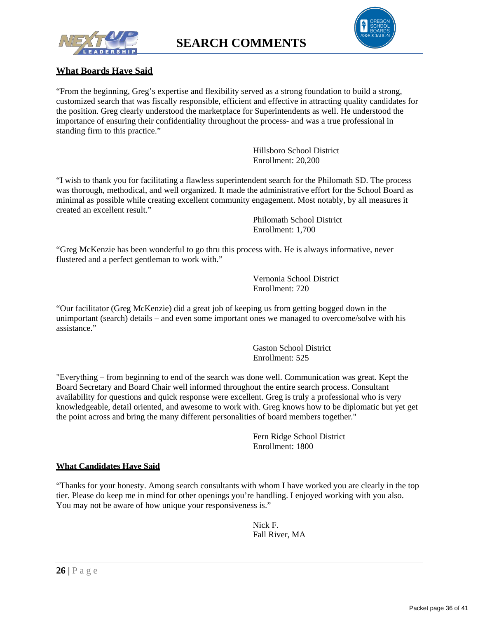





#### **What Boards Have Said**

"From the beginning, Greg's expertise and flexibility served as a strong foundation to build a strong, customized search that was fiscally responsible, efficient and effective in attracting quality candidates for the position. Greg clearly understood the marketplace for Superintendents as well. He understood the importance of ensuring their confidentiality throughout the process- and was a true professional in standing firm to this practice."

> Hillsboro School District Enrollment: 20,200

"I wish to thank you for facilitating a flawless superintendent search for the Philomath SD. The process was thorough, methodical, and well organized. It made the administrative effort for the School Board as minimal as possible while creating excellent community engagement. Most notably, by all measures it created an excellent result."

Philomath School District Enrollment: 1,700

"Greg McKenzie has been wonderful to go thru this process with. He is always informative, never flustered and a perfect gentleman to work with."

> Vernonia School District Enrollment: 720

"Our facilitator (Greg McKenzie) did a great job of keeping us from getting bogged down in the unimportant (search) details – and even some important ones we managed to overcome/solve with his assistance."

> Gaston School District Enrollment: 525

"Everything – from beginning to end of the search was done well. Communication was great. Kept the Board Secretary and Board Chair well informed throughout the entire search process. Consultant availability for questions and quick response were excellent. Greg is truly a professional who is very knowledgeable, detail oriented, and awesome to work with. Greg knows how to be diplomatic but yet get the point across and bring the many different personalities of board members together."

> Fern Ridge School District Enrollment: 1800

#### **What Candidates Have Said**

"Thanks for your honesty. Among search consultants with whom I have worked you are clearly in the top tier. Please do keep me in mind for other openings you're handling. I enjoyed working with you also. You may not be aware of how unique your responsiveness is."

> Nick F. Fall River, MA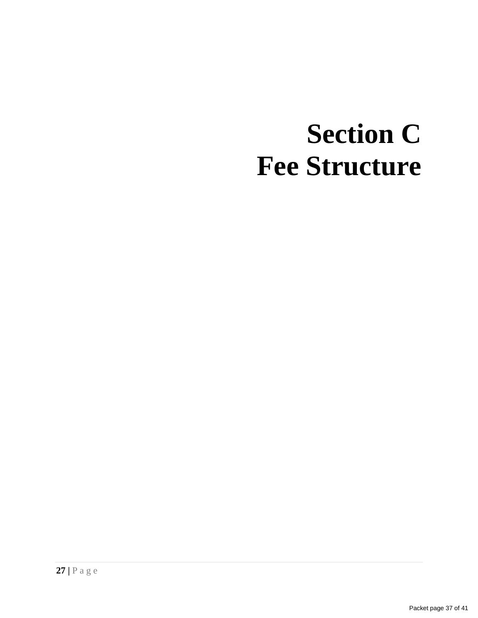## **Section C Fee Structure**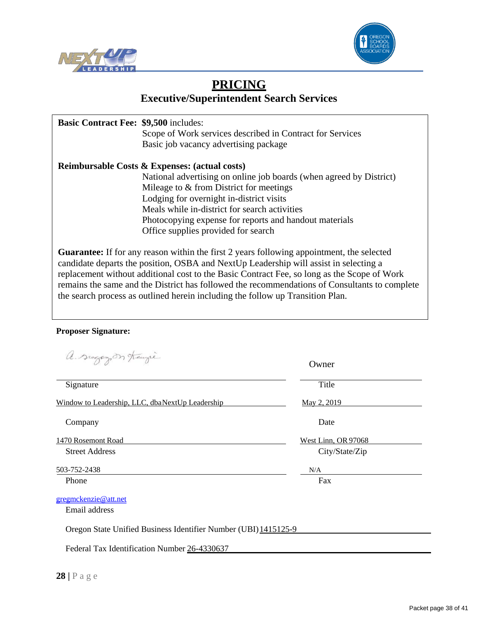



#### **PRICING Executive/Superintendent Search Services**

| <b>Basic Contract Fee: \$9,500 includes:</b>                                                                                                                                              | Scope of Work services described in Contract for Services<br>Basic job vacancy advertising package |  |  |  |
|-------------------------------------------------------------------------------------------------------------------------------------------------------------------------------------------|----------------------------------------------------------------------------------------------------|--|--|--|
| <b>Reimbursable Costs &amp; Expenses: (actual costs)</b>                                                                                                                                  |                                                                                                    |  |  |  |
|                                                                                                                                                                                           | National advertising on online job boards (when agreed by District)                                |  |  |  |
|                                                                                                                                                                                           | Mileage to & from District for meetings                                                            |  |  |  |
|                                                                                                                                                                                           | Lodging for overnight in-district visits                                                           |  |  |  |
|                                                                                                                                                                                           | Meals while in-district for search activities                                                      |  |  |  |
|                                                                                                                                                                                           | Photocopying expense for reports and handout materials                                             |  |  |  |
|                                                                                                                                                                                           | Office supplies provided for search                                                                |  |  |  |
| <b>Guarantee:</b> If for any reason within the first 2 years following appointment, the selected<br>candidate departs the position, OSBA and NextUp Leadership will assist in selecting a |                                                                                                    |  |  |  |

replacement without additional cost to the Basic Contract Fee, so long as the Scope of Work remains the same and the District has followed the recommendations of Consultants to complete the search process as outlined herein including the follow up Transition Plan.

#### **Proposer Signature:**

a. sugazon trengie

| $\Box$ $\Box$<br>$\sim$ $\sim$                                  | Owner               |  |  |  |
|-----------------------------------------------------------------|---------------------|--|--|--|
| Signature                                                       | Title               |  |  |  |
| Window to Leadership, LLC, dbaNextUp Leadership                 | May 2, 2019         |  |  |  |
| Company                                                         | Date                |  |  |  |
| 1470 Rosemont Road                                              | West Linn, OR 97068 |  |  |  |
| <b>Street Address</b>                                           | City/State/Zip      |  |  |  |
| 503-752-2438                                                    | N/A                 |  |  |  |
| Phone                                                           | Fax                 |  |  |  |
| gregmckenzie@att.net                                            |                     |  |  |  |
| Email address                                                   |                     |  |  |  |
| Oregon State Unified Business Identifier Number (UBI) 1415125-9 |                     |  |  |  |
| Federal Tax Identification Number 26-4330637                    |                     |  |  |  |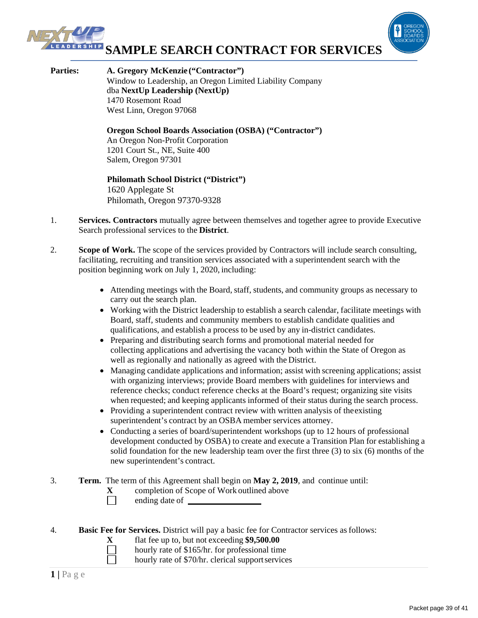

**Parties: A. Gregory McKenzie ("Contractor")** Window to Leadership, an Oregon Limited Liability Company dba **NextUp Leadership (NextUp)** 1470 Rosemont Road West Linn, Oregon 97068

> **Oregon School Boards Association (OSBA) ("Contractor")** An Oregon Non-Profit Corporation 1201 Court St., NE, Suite 400 Salem, Oregon 97301

#### **Philomath School District ("District")** 1620 Applegate St

Philomath, Oregon 97370-9328

- 1. **Services. Contractors** mutually agree between themselves and together agree to provide Executive Search professional services to the **District**.
- 2. **Scope of Work.** The scope of the services provided by Contractors will include search consulting, facilitating, recruiting and transition services associated with a superintendent search with the position beginning work on July 1, 2020, including:
	- Attending meetings with the Board, staff, students, and community groups as necessary to carry out the search plan.
	- Working with the District leadership to establish a search calendar, facilitate meetings with Board, staff, students and community members to establish candidate qualities and qualifications, and establish a process to be used by any in-district candidates.
	- Preparing and distributing search forms and promotional material needed for collecting applications and advertising the vacancy both within the State of Oregon as well as regionally and nationally as agreed with the District.
	- Managing candidate applications and information; assist with screening applications; assist with organizing interviews; provide Board members with guidelines for interviews and reference checks; conduct reference checks at the Board's request; organizing site visits when requested; and keeping applicants informed of their status during the search process.
	- Providing a superintendent contract review with written analysis of the existing superintendent's contract by an OSBA member services attorney.
	- Conducting a series of board/superintendent workshops (up to 12 hours of professional development conducted by OSBA) to create and execute a Transition Plan for establishing a solid foundation for the new leadership team over the first three (3) to six (6) months of the new superintendent's contract.
- 3. **Term.** The term of this Agreement shall begin on **May 2, 2019**, and continue until:
	- **X** completion of Scope of Work outlined above<br>
	ending date of
		- ending date of \_\_
- 4. **Basic Fee for Services.** District will pay a basic fee for Contractor services asfollows:
	- **X** flat fee up to, but not exceeding **\$9,500.00** 
		- hourly rate of \$165/hr. for professional time
		- hourly rate of \$70/hr. clerical supportservices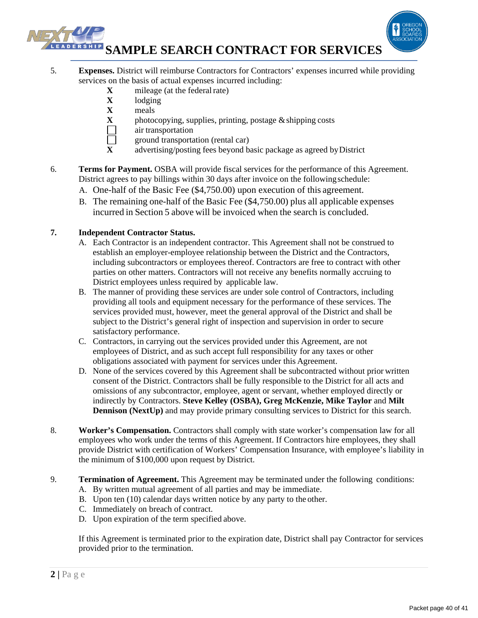## **SAMPLE SEARCH CONTRACT FOR SERVICES**



- **X** mileage (at the federal rate)
- **X** lodging
- **X** meals
- **X** photocopying, supplies, printing, postage  $\&$  shipping costs air transportation
- air transportation
- Ē ground transportation (rental car)
- **X** advertising/posting fees beyond basic package as agreed byDistrict
- 6. **Terms for Payment.** OSBA will provide fiscal services for the performance of this Agreement. District agrees to pay billings within 30 days after invoice on the followingschedule:
	- A. One-half of the Basic Fee (\$4,750.00) upon execution of this agreement.
	- B. The remaining one-half of the Basic Fee (\$4,750.00) plus all applicable expenses incurred in Section 5 above will be invoiced when the search is concluded.

#### **7. Independent Contractor Status.**

- A. Each Contractor is an independent contractor. This Agreement shall not be construed to establish an employer-employee relationship between the District and the Contractors, including subcontractors or employees thereof. Contractors are free to contract with other parties on other matters. Contractors will not receive any benefits normally accruing to District employees unless required by applicable law.
- B. The manner of providing these services are under sole control of Contractors, including providing all tools and equipment necessary for the performance of these services. The services provided must, however, meet the general approval of the District and shall be subject to the District's general right of inspection and supervision in order to secure satisfactory performance.
- C. Contractors, in carrying out the services provided under this Agreement, are not employees of District, and as such accept full responsibility for any taxes or other obligations associated with payment for services under this Agreement.
- D. None of the services covered by this Agreement shall be subcontracted without prior written consent of the District. Contractors shall be fully responsible to the District for all acts and omissions of any subcontractor, employee, agent or servant, whether employed directly or indirectly by Contractors. **Steve Kelley (OSBA), Greg McKenzie, Mike Taylor** and **Milt Dennison (NextUp)** and may provide primary consulting services to District for this search.
- 8. **Worker's Compensation.** Contractors shall comply with state worker's compensation law for all employees who work under the terms of this Agreement. If Contractors hire employees, they shall provide District with certification of Workers' Compensation Insurance, with employee's liability in the minimum of \$100,000 upon request by District.
- 9. **Termination of Agreement.** This Agreement may be terminated under the following conditions:
	- A. By written mutual agreement of all parties and may be immediate.
	- B. Upon ten (10) calendar days written notice by any party to the other.
	- C. Immediately on breach of contract.
	- D. Upon expiration of the term specified above.

If this Agreement is terminated prior to the expiration date, District shall pay Contractor for services provided prior to the termination.